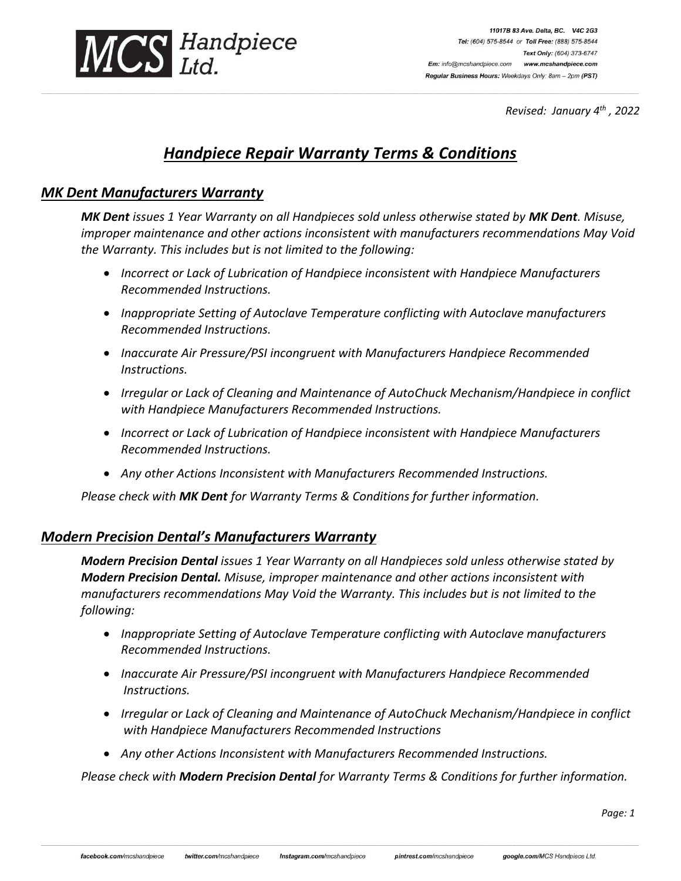

11017B 83 Ave. Delta, BC. V4C 2G3 Tel: (604) 575-8544 or Toll Free: (888) 575-8544 Text Only: (604) 373-6747 Em: info@mcshandpiece.com www.mcshandpiece.com Regular Business Hours: Weekdays Only: 8am - 2pm (PST)

*Revised: January 4 th , 2022*

# *Handpiece Repair Warranty Terms & Conditions*

**\_\_\_\_\_\_\_\_\_\_\_\_\_\_\_\_\_\_\_\_\_\_\_\_\_\_\_\_\_\_\_\_\_\_\_\_\_\_\_\_\_\_\_\_\_\_\_\_\_\_\_\_\_\_\_\_\_\_\_\_\_\_\_\_\_\_\_\_\_\_\_\_\_\_\_\_\_\_\_\_\_\_\_\_\_\_\_\_\_\_\_\_\_\_\_\_\_\_\_\_\_\_\_\_\_\_\_\_\_\_\_\_\_\_\_\_\_\_\_\_\_\_\_\_\_\_\_\_\_\_\_\_\_\_\_\_\_\_\_\_\_\_\_\_\_\_\_\_\_\_\_\_\_\_\_\_\_\_\_\_\_\_\_\_\_\_\_\_\_\_\_\_\_\_\_\_\_\_\_\_\_\_\_\_\_\_\_\_\_\_\_\_\_\_\_\_\_\_\_\_\_\_\_\_\_\_\_\_\_\_\_\_\_\_\_\_\_\_\_\_\_\_\_\_\_\_\_\_\_\_\_\_\_\_\_\_\_\_\_\_\_\_\_\_\_\_\_\_\_\_\_\_\_\_\_\_\_\_\_\_\_\_\_\_\_\_\_\_\_\_\_\_\_\_\_\_\_\_\_\_\_\_\_\_\_\_\_\_\_\_\_\_\_\_\_\_\_\_\_\_\_\_\_\_\_\_\_\_\_\_\_\_\_\_\_\_\_\_\_\_\_\_\_\_\_\_\_\_\_\_\_\_\_\_\_\_\_\_\_\_\_\_\_\_\_\_\_\_\_\_\_\_\_\_\_\_\_\_**

#### *MK Dent Manufacturers Warranty*

*MK Dent issues 1 Year Warranty on all Handpieces sold unless otherwise stated by MK Dent. Misuse, improper maintenance and other actions inconsistent with manufacturers recommendations May Void the Warranty. This includes but is not limited to the following:*

- *Incorrect or Lack of Lubrication of Handpiece inconsistent with Handpiece Manufacturers Recommended Instructions.*
- *Inappropriate Setting of Autoclave Temperature conflicting with Autoclave manufacturers Recommended Instructions.*
- *Inaccurate Air Pressure/PSI incongruent with Manufacturers Handpiece Recommended Instructions.*
- *Irregular or Lack of Cleaning and Maintenance of AutoChuck Mechanism/Handpiece in conflict with Handpiece Manufacturers Recommended Instructions.*
- *Incorrect or Lack of Lubrication of Handpiece inconsistent with Handpiece Manufacturers Recommended Instructions.*
- *Any other Actions Inconsistent with Manufacturers Recommended Instructions.*

*Please check with MK Dent for Warranty Terms & Conditions for further information.*

## *Modern Precision Dental's Manufacturers Warranty*

*Modern Precision Dental issues 1 Year Warranty on all Handpieces sold unless otherwise stated by Modern Precision Dental. Misuse, improper maintenance and other actions inconsistent with manufacturers recommendations May Void the Warranty. This includes but is not limited to the following:*

- *Inappropriate Setting of Autoclave Temperature conflicting with Autoclave manufacturers Recommended Instructions.*
- *Inaccurate Air Pressure/PSI incongruent with Manufacturers Handpiece Recommended Instructions.*
- *Irregular or Lack of Cleaning and Maintenance of AutoChuck Mechanism/Handpiece in conflict with Handpiece Manufacturers Recommended Instructions*
- *Any other Actions Inconsistent with Manufacturers Recommended Instructions.*

*Please check with Modern Precision Dental for Warranty Terms & Conditions for further information.*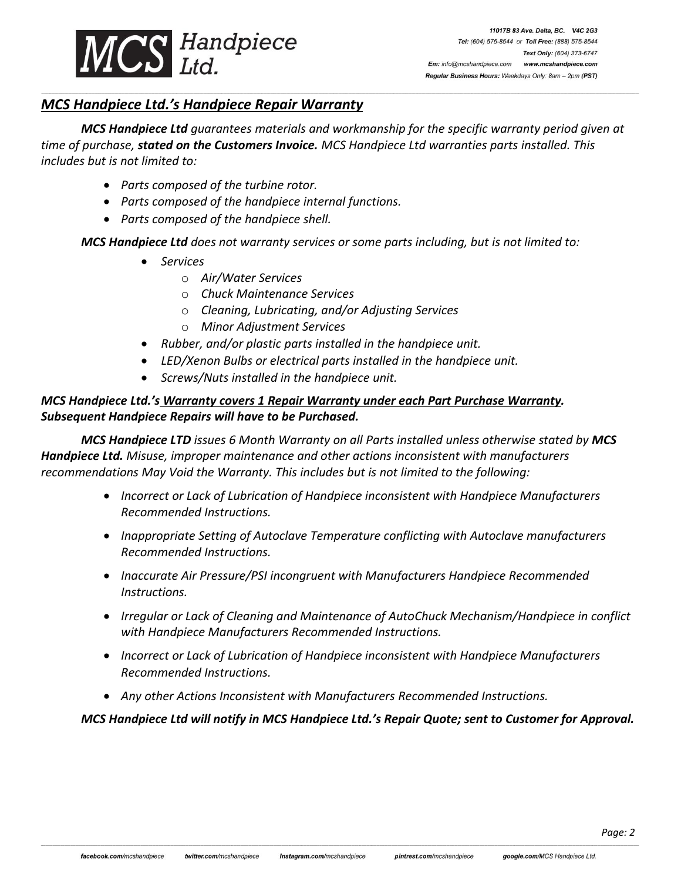

## *MCS Handpiece Ltd.'s Handpiece Repair Warranty*

*MCS Handpiece Ltd guarantees materials and workmanship for the specific warranty period given at time of purchase, stated on the Customers Invoice. MCS Handpiece Ltd warranties parts installed. This includes but is not limited to:*

**\_\_\_\_\_\_\_\_\_\_\_\_\_\_\_\_\_\_\_\_\_\_\_\_\_\_\_\_\_\_\_\_\_\_\_\_\_\_\_\_\_\_\_\_\_\_\_\_\_\_\_\_\_\_\_\_\_\_\_\_\_\_\_\_\_\_\_\_\_\_\_\_\_\_\_\_\_\_\_\_\_\_\_\_\_\_\_\_\_\_\_\_\_\_\_\_\_\_\_\_\_\_\_\_\_\_\_\_\_\_\_\_\_\_\_\_\_\_\_\_\_\_\_\_\_\_\_\_\_\_\_\_\_\_\_\_\_\_\_\_\_\_\_\_\_\_\_\_\_\_\_\_\_\_\_\_\_\_\_\_\_\_\_\_\_\_\_\_\_\_\_\_\_\_\_\_\_\_\_\_\_\_\_\_\_\_\_\_\_\_\_\_\_\_\_\_\_\_\_\_\_\_\_\_\_\_\_\_\_\_\_\_\_\_\_\_\_\_\_\_\_\_\_\_\_\_\_\_\_\_\_\_\_\_\_\_\_\_\_\_\_\_\_\_\_\_\_\_\_\_\_\_\_\_\_\_\_\_\_\_\_\_\_\_\_\_\_\_\_\_\_\_\_\_\_\_\_\_\_\_\_\_\_\_\_\_\_\_\_\_\_\_\_\_\_\_\_\_\_\_\_\_\_\_\_\_\_\_\_\_\_\_\_\_\_\_\_\_\_\_\_\_\_\_\_\_\_\_\_\_\_\_\_\_\_\_\_\_\_\_\_\_\_\_\_\_\_\_\_\_\_\_\_\_\_\_\_\_**

- *Parts composed of the turbine rotor.*
- *Parts composed of the handpiece internal functions.*
- *Parts composed of the handpiece shell.*

*MCS Handpiece Ltd does not warranty services or some parts including, but is not limited to:*

- *Services*
	- o *Air/Water Services*
	- o *Chuck Maintenance Services*
	- o *Cleaning, Lubricating, and/or Adjusting Services*
	- o *Minor Adjustment Services*
- *Rubber, and/or plastic parts installed in the handpiece unit.*
- *LED/Xenon Bulbs or electrical parts installed in the handpiece unit.*
- *Screws/Nuts installed in the handpiece unit.*

#### *MCS Handpiece Ltd.'s Warranty covers 1 Repair Warranty under each Part Purchase Warranty. Subsequent Handpiece Repairs will have to be Purchased.*

*MCS Handpiece LTD issues 6 Month Warranty on all Parts installed unless otherwise stated by MCS Handpiece Ltd. Misuse, improper maintenance and other actions inconsistent with manufacturers recommendations May Void the Warranty. This includes but is not limited to the following:*

- *Incorrect or Lack of Lubrication of Handpiece inconsistent with Handpiece Manufacturers Recommended Instructions.*
- *Inappropriate Setting of Autoclave Temperature conflicting with Autoclave manufacturers Recommended Instructions.*
- *Inaccurate Air Pressure/PSI incongruent with Manufacturers Handpiece Recommended Instructions.*
- *Irregular or Lack of Cleaning and Maintenance of AutoChuck Mechanism/Handpiece in conflict with Handpiece Manufacturers Recommended Instructions.*
- *Incorrect or Lack of Lubrication of Handpiece inconsistent with Handpiece Manufacturers Recommended Instructions.*
- *Any other Actions Inconsistent with Manufacturers Recommended Instructions.*

*MCS Handpiece Ltd will notify in MCS Handpiece Ltd.'s Repair Quote; sent to Customer for Approval.*